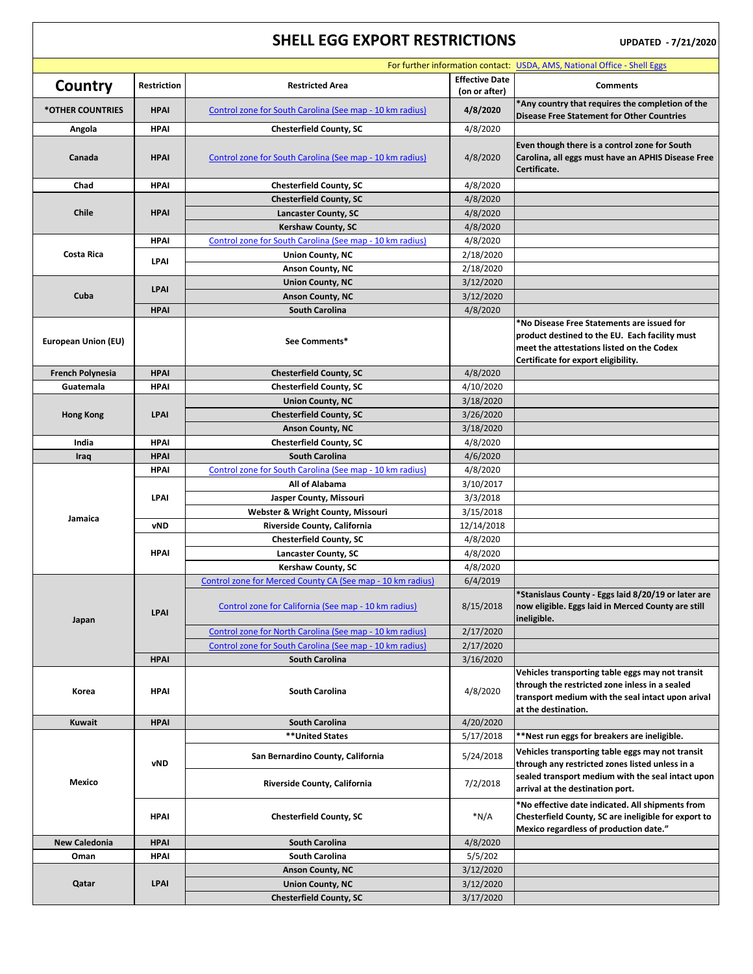## **SHELL EGG EXPORT RESTRICTIONS** UPDATED - 7/21/2020

| For further information contact: USDA, AMS, National Office - Shell Eggs |                    |                                                            |                                        |                                                                                                                                                                                  |  |  |
|--------------------------------------------------------------------------|--------------------|------------------------------------------------------------|----------------------------------------|----------------------------------------------------------------------------------------------------------------------------------------------------------------------------------|--|--|
| Country                                                                  | <b>Restriction</b> | <b>Restricted Area</b>                                     | <b>Effective Date</b><br>(on or after) | <b>Comments</b>                                                                                                                                                                  |  |  |
| *OTHER COUNTRIES                                                         | <b>HPAI</b>        | Control zone for South Carolina (See map - 10 km radius)   | 4/8/2020                               | *Any country that requires the completion of the<br><b>Disease Free Statement for Other Countries</b>                                                                            |  |  |
| Angola                                                                   | <b>HPAI</b>        | <b>Chesterfield County, SC</b>                             | 4/8/2020                               |                                                                                                                                                                                  |  |  |
| Canada                                                                   | <b>HPAI</b>        | Control zone for South Carolina (See map - 10 km radius)   | 4/8/2020                               | Even though there is a control zone for South<br>Carolina, all eggs must have an APHIS Disease Free<br>Certificate.                                                              |  |  |
| Chad                                                                     | <b>HPAI</b>        | <b>Chesterfield County, SC</b>                             | 4/8/2020                               |                                                                                                                                                                                  |  |  |
| <b>Chile</b>                                                             | <b>HPAI</b>        | <b>Chesterfield County, SC</b>                             | 4/8/2020                               |                                                                                                                                                                                  |  |  |
|                                                                          |                    | <b>Lancaster County, SC</b>                                | 4/8/2020                               |                                                                                                                                                                                  |  |  |
|                                                                          |                    | <b>Kershaw County, SC</b>                                  | 4/8/2020                               |                                                                                                                                                                                  |  |  |
| <b>Costa Rica</b>                                                        | <b>HPAI</b>        | Control zone for South Carolina (See map - 10 km radius)   | 4/8/2020                               |                                                                                                                                                                                  |  |  |
|                                                                          | <b>LPAI</b>        | <b>Union County, NC</b>                                    | 2/18/2020                              |                                                                                                                                                                                  |  |  |
|                                                                          |                    | <b>Anson County, NC</b>                                    | 2/18/2020                              |                                                                                                                                                                                  |  |  |
|                                                                          | <b>LPAI</b>        | <b>Union County, NC</b>                                    | 3/12/2020                              |                                                                                                                                                                                  |  |  |
| Cuba                                                                     |                    | <b>Anson County, NC</b>                                    | 3/12/2020                              |                                                                                                                                                                                  |  |  |
|                                                                          | <b>HPAI</b>        | <b>South Carolina</b>                                      | 4/8/2020                               |                                                                                                                                                                                  |  |  |
| <b>European Union (EU)</b>                                               |                    | See Comments*                                              |                                        | *No Disease Free Statements are issued for<br>product destined to the EU. Each facility must<br>meet the attestations listed on the Codex<br>Certificate for export eligibility. |  |  |
| <b>French Polynesia</b>                                                  | <b>HPAI</b>        | <b>Chesterfield County, SC</b>                             | 4/8/2020                               |                                                                                                                                                                                  |  |  |
| Guatemala                                                                | <b>HPAI</b>        | <b>Chesterfield County, SC</b>                             | 4/10/2020                              |                                                                                                                                                                                  |  |  |
|                                                                          |                    | <b>Union County, NC</b>                                    | 3/18/2020                              |                                                                                                                                                                                  |  |  |
| <b>Hong Kong</b>                                                         | <b>LPAI</b>        | <b>Chesterfield County, SC</b>                             | 3/26/2020                              |                                                                                                                                                                                  |  |  |
|                                                                          |                    | <b>Anson County, NC</b>                                    | 3/18/2020                              |                                                                                                                                                                                  |  |  |
| India                                                                    | <b>HPAI</b>        | <b>Chesterfield County, SC</b>                             | 4/8/2020                               |                                                                                                                                                                                  |  |  |
| Iraq                                                                     | <b>HPAI</b>        | <b>South Carolina</b>                                      | 4/6/2020                               |                                                                                                                                                                                  |  |  |
|                                                                          | <b>HPAI</b>        | Control zone for South Carolina (See map - 10 km radius)   | 4/8/2020                               |                                                                                                                                                                                  |  |  |
|                                                                          | <b>LPAI</b>        | All of Alabama                                             | 3/10/2017                              |                                                                                                                                                                                  |  |  |
| Jamaica                                                                  |                    | Jasper County, Missouri                                    | 3/3/2018                               |                                                                                                                                                                                  |  |  |
|                                                                          |                    | <b>Webster &amp; Wright County, Missouri</b>               | 3/15/2018                              |                                                                                                                                                                                  |  |  |
|                                                                          | <b>vND</b>         | <b>Riverside County, California</b>                        | 12/14/2018                             |                                                                                                                                                                                  |  |  |
|                                                                          |                    | <b>Chesterfield County, SC</b>                             | 4/8/2020                               |                                                                                                                                                                                  |  |  |
|                                                                          | <b>HPAI</b>        | <b>Lancaster County, SC</b>                                | 4/8/2020                               |                                                                                                                                                                                  |  |  |
|                                                                          |                    | <b>Kershaw County, SC</b>                                  | 4/8/2020                               |                                                                                                                                                                                  |  |  |
| Japan                                                                    | <b>LPAI</b>        | Control zone for Merced County CA (See map - 10 km radius) | 6/4/2019                               | *Stanislaus County - Eggs laid 8/20/19 or later are                                                                                                                              |  |  |
|                                                                          |                    | Control zone for California (See map - 10 km radius)       | 8/15/2018                              | now eligible. Eggs laid in Merced County are still<br>ineligible.                                                                                                                |  |  |
|                                                                          |                    | Control zone for North Carolina (See map - 10 km radius)   | 2/17/2020                              |                                                                                                                                                                                  |  |  |
|                                                                          |                    | Control zone for South Carolina (See map - 10 km radius)   | 2/17/2020                              |                                                                                                                                                                                  |  |  |
|                                                                          | <b>HPAI</b>        | <b>South Carolina</b>                                      | 3/16/2020                              |                                                                                                                                                                                  |  |  |
| Korea                                                                    | <b>HPAI</b>        | <b>South Carolina</b>                                      | 4/8/2020                               | Vehicles transporting table eggs may not transit<br>through the restricted zone inless in a sealed<br>transport medium with the seal intact upon arival<br>at the destination.   |  |  |
| <b>Kuwait</b>                                                            | <b>HPAI</b>        | <b>South Carolina</b>                                      | 4/20/2020                              |                                                                                                                                                                                  |  |  |
| <b>Mexico</b>                                                            | <b>vND</b>         | <b>**United States</b>                                     | 5/17/2018                              | **Nest run eggs for breakers are ineligible.                                                                                                                                     |  |  |
|                                                                          |                    | San Bernardino County, California                          | 5/24/2018                              | Vehicles transporting table eggs may not transit<br>through any restricted zones listed unless in a                                                                              |  |  |
|                                                                          |                    | Riverside County, California                               | 7/2/2018                               | sealed transport medium with the seal intact upon<br>arrival at the destination port.                                                                                            |  |  |
|                                                                          | <b>HPAI</b>        | <b>Chesterfield County, SC</b>                             | $*N/A$                                 | *No effective date indicated. All shipments from<br>Chesterfield County, SC are ineligible for export to<br>Mexico regardless of production date."                               |  |  |
| <b>New Caledonia</b>                                                     | <b>HPAI</b>        | <b>South Carolina</b>                                      | 4/8/2020                               |                                                                                                                                                                                  |  |  |
| Oman                                                                     | <b>HPAI</b>        | <b>South Carolina</b>                                      | 5/5/202                                |                                                                                                                                                                                  |  |  |
| Qatar                                                                    | <b>LPAI</b>        | <b>Anson County, NC</b>                                    | 3/12/2020                              |                                                                                                                                                                                  |  |  |
|                                                                          |                    | <b>Union County, NC</b>                                    | 3/12/2020                              |                                                                                                                                                                                  |  |  |
|                                                                          |                    | <b>Chesterfield County, SC</b>                             | 3/17/2020                              |                                                                                                                                                                                  |  |  |